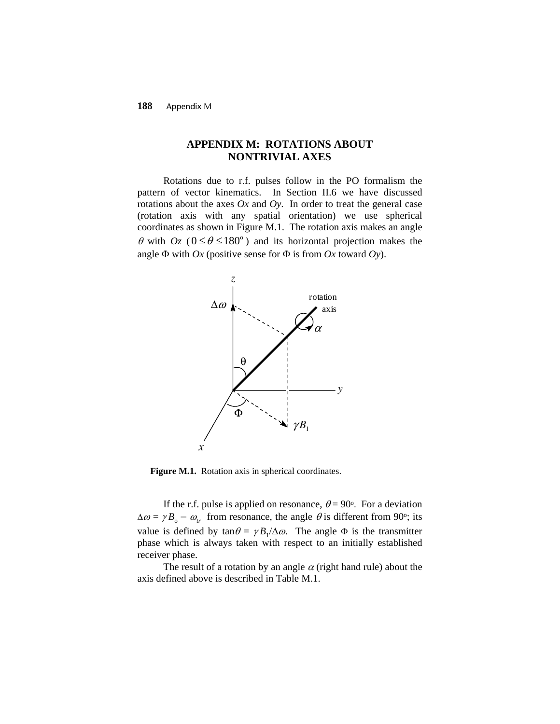**188** Appendix M

## **APPENDIX M: ROTATIONS ABOUT NONTRIVIAL AXES**

Rotations due to r.f. pulses follow in the PO formalism the pattern of vector kinematics. In Section II.6 we have discussed rotations about the axes  $Ox$  and  $Oy$ . In order to treat the general case (rotation axis with any spatial orientation) we use spherical coordinates as shown in Figure M.1. The rotation axis makes an angle  $\theta$  with  $Oz$  ( $0 \le \theta \le 180^\circ$ ) and its horizontal projection makes the angle Φ with *Ox* (positive sense for Φ is from *Ox* toward *Oy*).



Figure M.1. Rotation axis in spherical coordinates.

If the r.f. pulse is applied on resonance,  $\theta = 90^{\circ}$ . For a deviation  $\Delta \omega = \gamma B_o - \omega_t$  from resonance, the angle  $\theta$  is different from 90°; its value is defined by  $\tan \theta = \gamma B_1 / \Delta \omega$ . The angle  $\Phi$  is the transmitter phase which is always taken with respect to an initially established receiver phase.

The result of a rotation by an angle  $\alpha$  (right hand rule) about the axis defined above is described in Table M.1.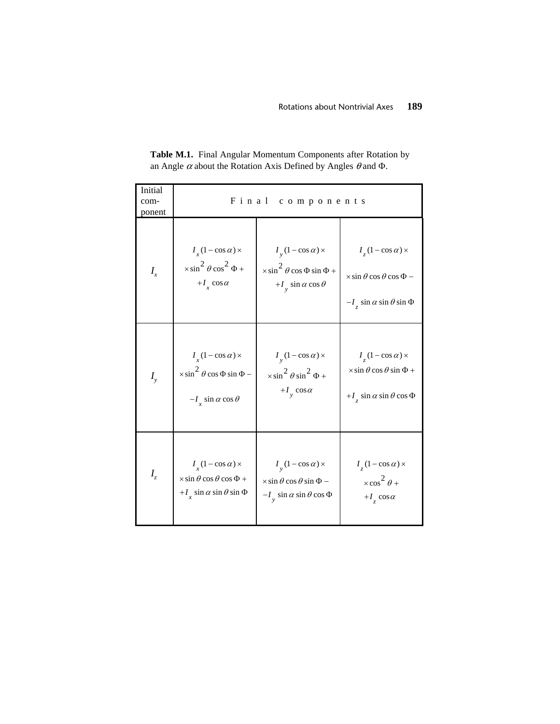| Initial<br>com-<br>ponent | Final<br>components                             |                                                 |                                                 |  |
|---------------------------|-------------------------------------------------|-------------------------------------------------|-------------------------------------------------|--|
| $I_{x}$                   | $I_{r}$ (1 – cos $\alpha$ ) ×                   | $I_{v}$ (1 – cos $\alpha$ ) ×                   | $I_{7}(1-\cos \alpha)$ ×                        |  |
|                           | $\times \sin^2 \theta \cos^2 \Phi +$            | $\times \sin^2 \theta \cos \Phi \sin \Phi +$    | $\times$ sin $\theta$ cos $\theta$ cos $\Phi$ – |  |
|                           | $+I_{r} \cos \alpha$                            | + $I_v$ sin $\alpha$ cos $\theta$               | $-I_z \sin \alpha \sin \theta \sin \Phi$        |  |
| $I_{y}$                   | $I_{x}(1-\cos\alpha)$ ×                         | $I_{v}$ (1 – cos $\alpha$ ) ×                   | $I_{z}$ (1 – cos $\alpha$ ) ×                   |  |
|                           | $\times \sin^2 \theta \cos \Phi \sin \Phi -$    | $\times \sin^2 \theta \sin^2 \Phi +$            | $\times$ sin $\theta$ cos $\theta$ sin $\Phi$ + |  |
|                           | $-I_r \sin \alpha \cos \theta$                  | $+I_{v} \cos \alpha$                            | + $I_{7}$ sin $\alpha$ sin $\theta$ cos $\Phi$  |  |
| $I_z$                     | $I_{r}$ (1 – cos $\alpha$ ) ×                   | $I_{v}$ (1 – cos $\alpha$ ) ×                   | $I_{\rm z}(1-\cos\alpha)$ ×                     |  |
|                           | $\times$ sin $\theta$ cos $\theta$ cos $\Phi$ + | $\times$ sin $\theta$ cos $\theta$ sin $\Phi$ – | $\times \cos^2 \theta +$                        |  |
|                           | + $I_{r}$ sin $\alpha$ sin $\theta$ sin $\Phi$  | $-I_{v}$ sin $\alpha$ sin $\theta$ cos $\Phi$   | $+I_z \cos \alpha$                              |  |

**Table M.1.** Final Angular Momentum Components after Rotation by an Angle  $\alpha$  about the Rotation Axis Defined by Angles  $\theta$  and  $\Phi$ .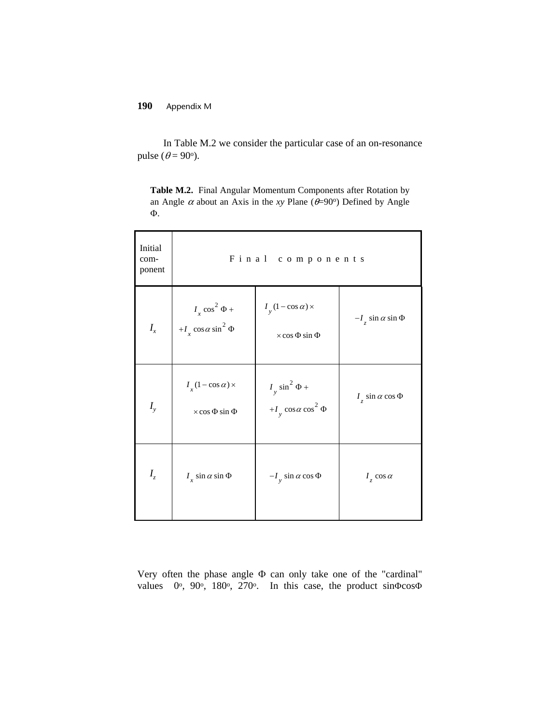## **190** Appendix M

In Table M.2 we consider the particular case of an on-resonance pulse ( $\theta$  = 90<sup>o</sup>).

**Table M.2.** Final Angular Momentum Components after Rotation by an Angle  $\alpha$  about an Axis in the *xy* Plane ( $\theta$ =90°) Defined by Angle Φ.

| Initial<br>com-<br>ponent | Final components                                               |                                                         |                               |  |
|---------------------------|----------------------------------------------------------------|---------------------------------------------------------|-------------------------------|--|
| $I_{x}$                   | $I_x \cos^2 \Phi +$<br>+ $I_x \cos \alpha \sin^2 \Phi$         | $I_y(1-\cos\alpha)$ ×<br>$\times$ cos $\Phi$ sin $\Phi$ | $-I_z \sin \alpha \sin \Phi$  |  |
| $I_{y}$                   | $I_{x}(1-\cos\alpha) \times$<br>$\times$ cos $\Phi$ sin $\Phi$ | $I_y \sin^2 \Phi +$<br>+ $I_v \cos \alpha \cos^2 \Phi$  | $I_z$ sin $\alpha$ cos $\Phi$ |  |
| $I_z$                     | $I_x$ sin $\alpha$ sin $\Phi$                                  | $-I_y \sin \alpha \cos \Phi$                            | $I_z \cos \alpha$             |  |

Very often the phase angle Φ can only take one of the "cardinal" values 0o, 90o, 180o, 270o. In this case, the product sinΦcosΦ